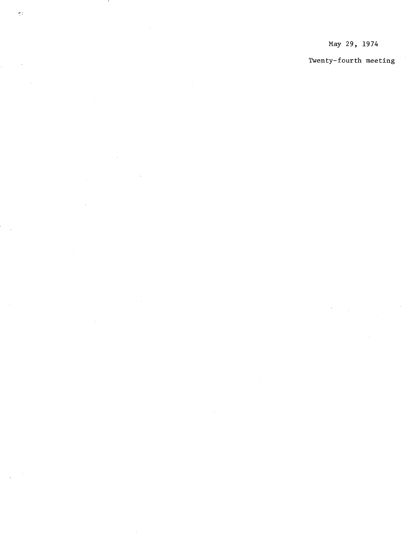## May 29, 1974

## Twenty-fourth meeting

 $\mathcal{A}^{\text{max}}_{\text{max}}$ 

 $\bullet$ 

 $\sigma_{\tilde{z}}$ 

 $\frac{1}{2}$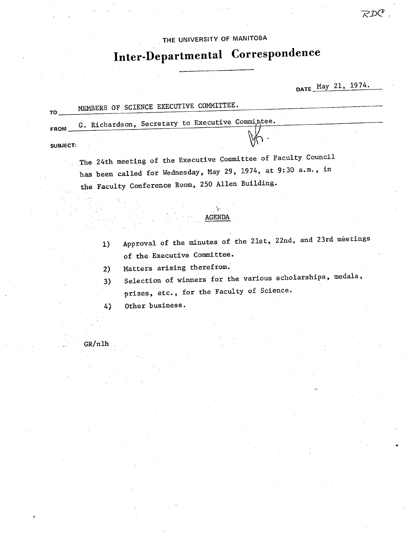## THE UNIVERSITY OF MANITOBA

# **InterDepartmental Correspondence**

DATE May 21, 1974.

 $R\mathcal{D}C$ 

| т٥              | MEMBERS OF SCIENCE EXECUTIVE COMMITTEE.          |  |  |  |  |
|-----------------|--------------------------------------------------|--|--|--|--|
| FROM            | G. Richardson, Secretary to Executive Committee. |  |  |  |  |
| $C[10]$ $C$ $T$ |                                                  |  |  |  |  |

**SUBJECT:** 

The 24th meeting of the Executive Committee of Faculty Council has been called for Wednesday, May 29, 1974, at 9:30 a.m., in the Faculty Conference Room, 250 Allen Building.

#### AGENDA

- 1) Approval of the minutes of the 21st, 22nd, and 23rd meetings of the Executive Committee.
- Matters arising therefrom.  $2)$
- Selection of winners for the various scholarships, medals,  $3)$ prizes, etc., for the Faculty of Science.
- Other business.  $4)$

GR/nlh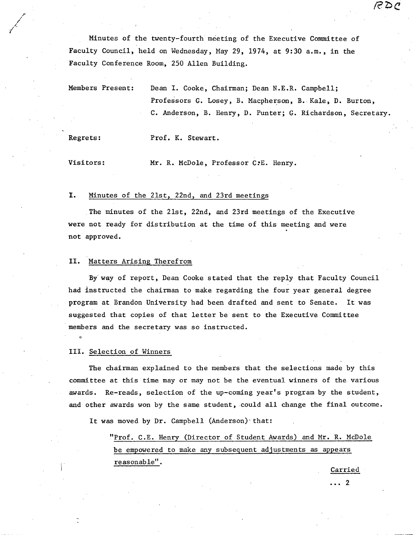Minutes of the twenty-fourth meeting of the Executive Committee of Faculty Council, held on Wednesday, May 29, 1974, at 9:30 a.m., in the Faculty Conference Room, 250 Allen Building.

Members Present: Dean I. Cooke, Chairman; Dean N.E.R. Campbell; Professors G. Losey, B. Macpherson, B. Kale, D. Burton, C. Anderson, B. Henry, D. Punter; G. Richardson, Secretary.

1 1'

Regrets: Prof. K. Stewart.

Visitors: Mr. R. McDole, Professor C?E. Henry.

#### I. Minutes of the 21st, 22nd, and 23rd meetings

The minutes of the 21st, 22nd, and 23rd meetings of the Executive were not ready for distribution at the time of this meeting and were not approved.

### II. Matters Arising Therefrom

Byway of report, Dean Cooke stated that the reply that Faculty Council had instructed the chairman to make regarding the four year general degree program at Brandon University had been drafted and sent to Senate. It was suggested that copies of that letter be sent to the Executive Committee members and the secretary was so instructed.

#### III. Selection of Winners

 $\circ$ 

The chairman explained to the members that the selections made by this committee at this time may or may not be the eventual winners of the various awards. Re-reads, selection of the up-coming year's program by the student, and other awards won by the same student, could all change the final outcome.

It was moved by Dr. Campbell (Anderson) that:

"Prof. C.E. Henry (Director of Student Awards) and Mr. R. McDole be empowered to make any subsequent adjustments as appears  $\text{reasonable}$ ".

Carried

RDC

. . . 2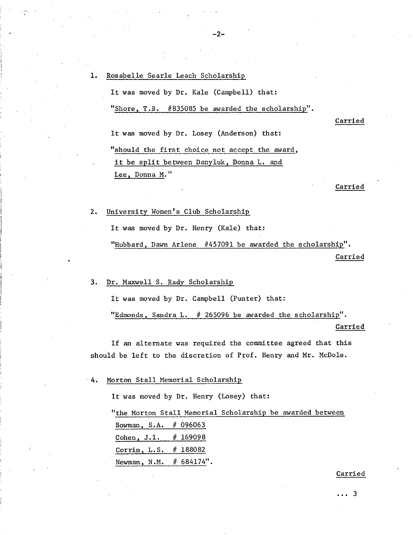$1.$ Rosabelle Searle Leach Scholarship It was moved by Dr. Kale (Campbell) that: "Shore, T.B. #835085 be awarded the scholarship". It was moved by Dr. Losey (Anderson) that: "should the first choice not accept the award, it be split between Danyluk, Donna L. and Lee, Donna M."

-2-

Carried

Carried

- University Women's Club Scholarship  $2.$ It was moved by Dr. Henry (Kale) that: "Hubbard, Dawn Arlene #457091 be awarded the scholarship". Carried
- Dr. Maxwell S. Rady Scholarship  $3.$

It was moved by Dr. Campbell (Punter) that:

"Edmonds, Sandra L. # 265096 be awarded the scholarship".

#### Carried

If an alternate was required the committee agreed that this should be left to the discretion of Prof. Henry and Mr. McDole.

Morton Stall Memorial Scholarshi 4.

It was moved by Dr. Henry (Losey) that:

"the Morton Stall Memorial Scholarship be awarded between Bowman, S.A. # 096063 Cohen, J.I. # 169098 Corrin, L.S. # 188082 Newman, N.M. # 684174".

Carried

. . . 3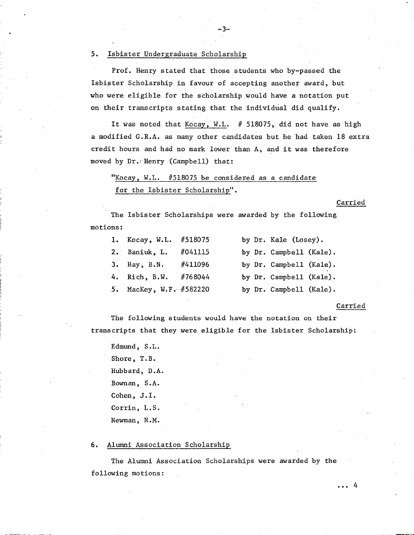#### 5. Isbister Undergraduate Scholarship

Prof. Henry stated that those students who by-passed the Isbister Scholarship in favour of accepting another award, but who were eligible for the scholarship would have a notation put on their transcripts stating that the individual did qualify.

-3-

It was noted that Kocay, W.L. # 518075, did not have as high a modified G.R.A. as many other candidates but he had taken 18 extra credit hours and had no mark lower than A, and it was therefore moved by Dr. Henry (Campbell) that:

"Kocay, W.L. #518075 be considered as a candidate for the Isbister Scholarship".

Carried

The Isbister Scholarships were awarded by the following motions:

| 1. Kocay, W.L. #518075  |         | by Dr. Kale (Losey).    |  |
|-------------------------|---------|-------------------------|--|
| $2.$ Baniuk, L.         | #041115 | by Dr. Campbell (Kale). |  |
| 3. Hay, B.N.            | #411096 | by Dr. Campbell (Kale). |  |
| 4. Rich, B.W.           | #768044 | by Dr. Campbell (Kale). |  |
| 5. MacKey, W.F. #582220 |         | by Dr. Campbell (Kale). |  |

#### Carried

The following students would have the notation on their transcripts that they were eligible for the Isbister Scholarship:

Edmund, S.L. Shore, T.B. Hubbard, D.A. Bownan, S.A. Cohen, J.I. Corrin, L.S. Newman, N.M.

#### Alumni Association Scholarship 6.

The Alumni Association Scholarships were awarded by the following motions: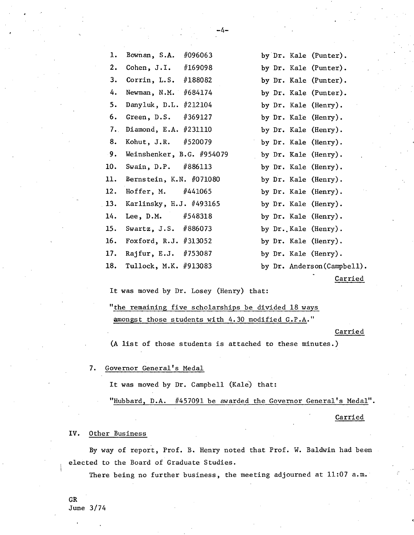-4-

Rajfur, E.J. #753087 by Dr. Kale (Henry). 17. 18.

Tullock, M.K. #913083 by Dr. Anderson(Campbell).

Carried

It was moved by Dr. Losey (Henry) that:

"the remaining five scholarships be divided 18 ways 'amongst those students with 4.30 modified G.P.A."

#### Carried

(A list of those students is attached to these minutes.)

7. Governor General's Medal

It was moved by Dr. Campbell (Kale) that:

"Hubbard, D.A. #457091 be awarded the Governor General's Medal".

Carried

#### IV. Other Business

8. 9. 10. 11.  $12.$ 13. 14. 15. 16.

By way of report, Prof. B. Henry noted that Prof. W. Baldwin had been elected to the Board of Graduate Studies.

There being no further business, the meeting adjourned at 11:07 a.m.

CR June 3/74